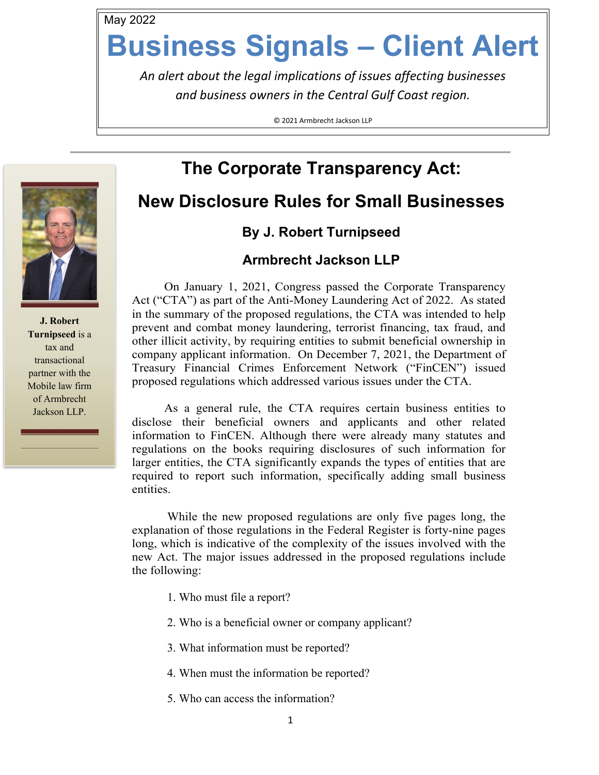May 2022

# **Business Signals – Client Alert**

*An alert about the legal implications of issues affecting businesses and business owners in the Central Gulf Coast region.*

© 2021 Armbrecht Jackson LLP

# **The Corporate Transparency Act:**

## **New Disclosure Rules for Small Businesses**

## **By J. Robert Turnipseed**

### **Armbrecht Jackson LLP**

On January 1, 2021, Congress passed the Corporate Transparency Act ("CTA") as part of the Anti-Money Laundering Act of 2022. As stated in the summary of the proposed regulations, the CTA was intended to help prevent and combat money laundering, terrorist financing, tax fraud, and other illicit activity, by requiring entities to submit beneficial ownership in company applicant information. On December 7, 2021, the Department of Treasury Financial Crimes Enforcement Network ("FinCEN") issued proposed regulations which addressed various issues under the CTA.

As a general rule, the CTA requires certain business entities to disclose their beneficial owners and applicants and other related information to FinCEN. Although there were already many statutes and regulations on the books requiring disclosures of such information for larger entities, the CTA significantly expands the types of entities that are required to report such information, specifically adding small business entities.

While the new proposed regulations are only five pages long, the explanation of those regulations in the Federal Register is forty-nine pages long, which is indicative of the complexity of the issues involved with the new Act. The major issues addressed in the proposed regulations include the following:

- 1. Who must file a report?
- 2. Who is a beneficial owner or company applicant?
- 3. What information must be reported?
- 4. When must the information be reported?
- 5. Who can access the information?



**J. Robert Turnipseed** is a tax and transactional partner with the Mobile law firm of Armbrecht Jackson LLP.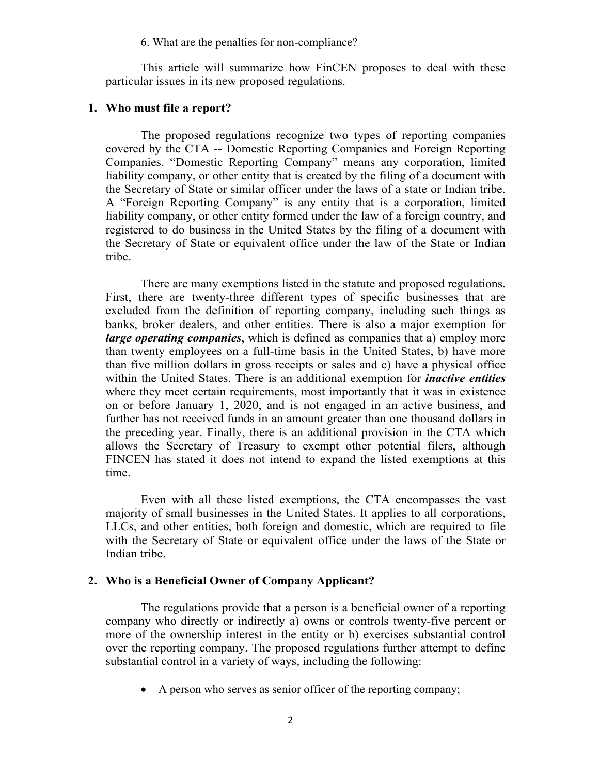6. What are the penalties for non-compliance?

This article will summarize how FinCEN proposes to deal with these particular issues in its new proposed regulations.

#### **1. Who must file a report?**

The proposed regulations recognize two types of reporting companies covered by the CTA -- Domestic Reporting Companies and Foreign Reporting Companies. "Domestic Reporting Company" means any corporation, limited liability company, or other entity that is created by the filing of a document with the Secretary of State or similar officer under the laws of a state or Indian tribe. A "Foreign Reporting Company" is any entity that is a corporation, limited liability company, or other entity formed under the law of a foreign country, and registered to do business in the United States by the filing of a document with the Secretary of State or equivalent office under the law of the State or Indian tribe.

There are many exemptions listed in the statute and proposed regulations. First, there are twenty-three different types of specific businesses that are excluded from the definition of reporting company, including such things as banks, broker dealers, and other entities. There is also a major exemption for *large operating companies*, which is defined as companies that a) employ more than twenty employees on a full-time basis in the United States, b) have more than five million dollars in gross receipts or sales and c) have a physical office within the United States. There is an additional exemption for *inactive entities* where they meet certain requirements, most importantly that it was in existence on or before January 1, 2020, and is not engaged in an active business, and further has not received funds in an amount greater than one thousand dollars in the preceding year. Finally, there is an additional provision in the CTA which allows the Secretary of Treasury to exempt other potential filers, although FINCEN has stated it does not intend to expand the listed exemptions at this time.

Even with all these listed exemptions, the CTA encompasses the vast majority of small businesses in the United States. It applies to all corporations, LLCs, and other entities, both foreign and domestic, which are required to file with the Secretary of State or equivalent office under the laws of the State or Indian tribe.

#### **2. Who is a Beneficial Owner of Company Applicant?**

The regulations provide that a person is a beneficial owner of a reporting company who directly or indirectly a) owns or controls twenty-five percent or more of the ownership interest in the entity or b) exercises substantial control over the reporting company. The proposed regulations further attempt to define substantial control in a variety of ways, including the following:

• A person who serves as senior officer of the reporting company;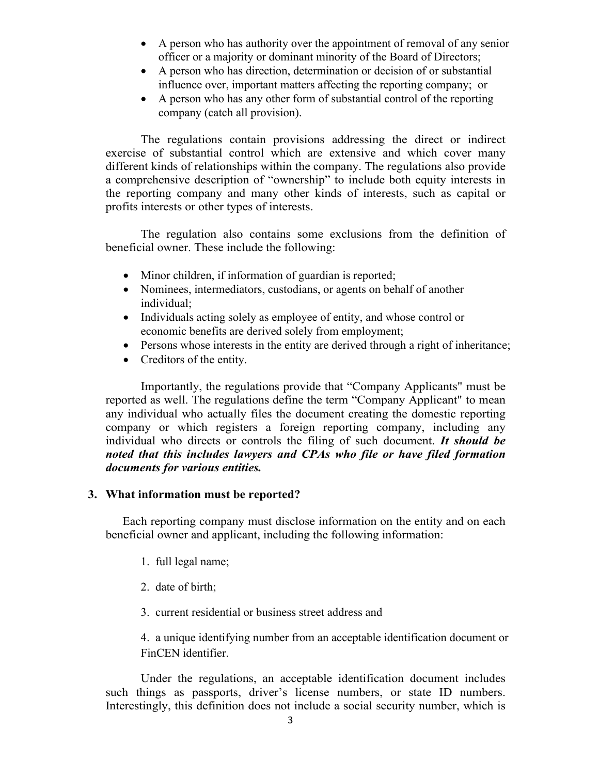- A person who has authority over the appointment of removal of any senior officer or a majority or dominant minority of the Board of Directors;
- A person who has direction, determination or decision of or substantial influence over, important matters affecting the reporting company; or
- A person who has any other form of substantial control of the reporting company (catch all provision).

The regulations contain provisions addressing the direct or indirect exercise of substantial control which are extensive and which cover many different kinds of relationships within the company. The regulations also provide a comprehensive description of "ownership" to include both equity interests in the reporting company and many other kinds of interests, such as capital or profits interests or other types of interests.

The regulation also contains some exclusions from the definition of beneficial owner. These include the following:

- Minor children, if information of guardian is reported;
- Nominees, intermediators, custodians, or agents on behalf of another individual;
- Individuals acting solely as employee of entity, and whose control or economic benefits are derived solely from employment;
- Persons whose interests in the entity are derived through a right of inheritance;
- Creditors of the entity.

Importantly, the regulations provide that "Company Applicants" must be reported as well. The regulations define the term "Company Applicant" to mean any individual who actually files the document creating the domestic reporting company or which registers a foreign reporting company, including any individual who directs or controls the filing of such document. *It should be noted that this includes lawyers and CPAs who file or have filed formation documents for various entities.* 

#### **3. What information must be reported?**

Each reporting company must disclose information on the entity and on each beneficial owner and applicant, including the following information:

- 1. full legal name;
- 2. date of birth;
- 3. current residential or business street address and

4. a unique identifying number from an acceptable identification document or FinCEN identifier.

Under the regulations, an acceptable identification document includes such things as passports, driver's license numbers, or state ID numbers. Interestingly, this definition does not include a social security number, which is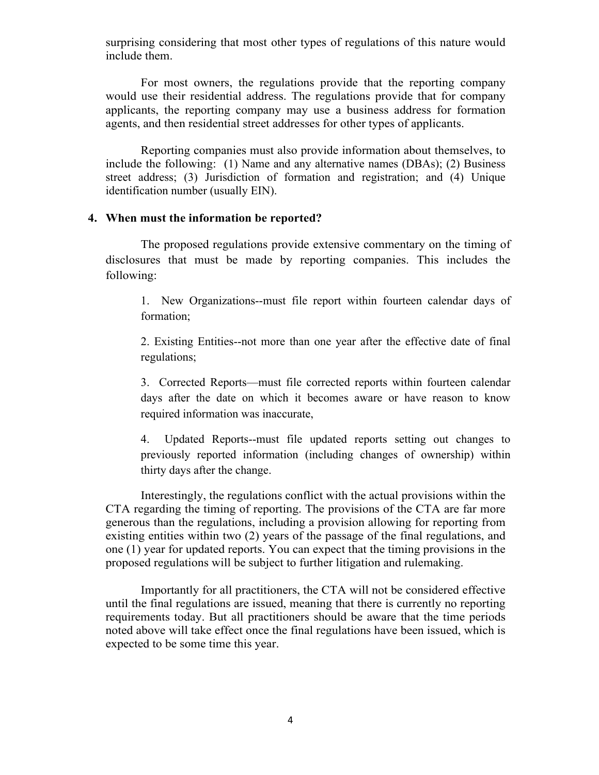surprising considering that most other types of regulations of this nature would include them.

For most owners, the regulations provide that the reporting company would use their residential address. The regulations provide that for company applicants, the reporting company may use a business address for formation agents, and then residential street addresses for other types of applicants.

Reporting companies must also provide information about themselves, to include the following: (1) Name and any alternative names (DBAs); (2) Business street address; (3) Jurisdiction of formation and registration; and (4) Unique identification number (usually EIN).

#### **4. When must the information be reported?**

The proposed regulations provide extensive commentary on the timing of disclosures that must be made by reporting companies. This includes the following:

1. New Organizations--must file report within fourteen calendar days of formation;

2. Existing Entities--not more than one year after the effective date of final regulations;

3. Corrected Reports—must file corrected reports within fourteen calendar days after the date on which it becomes aware or have reason to know required information was inaccurate,

4. Updated Reports--must file updated reports setting out changes to previously reported information (including changes of ownership) within thirty days after the change.

Interestingly, the regulations conflict with the actual provisions within the CTA regarding the timing of reporting. The provisions of the CTA are far more generous than the regulations, including a provision allowing for reporting from existing entities within two (2) years of the passage of the final regulations, and one (1) year for updated reports. You can expect that the timing provisions in the proposed regulations will be subject to further litigation and rulemaking.

Importantly for all practitioners, the CTA will not be considered effective until the final regulations are issued, meaning that there is currently no reporting requirements today. But all practitioners should be aware that the time periods noted above will take effect once the final regulations have been issued, which is expected to be some time this year.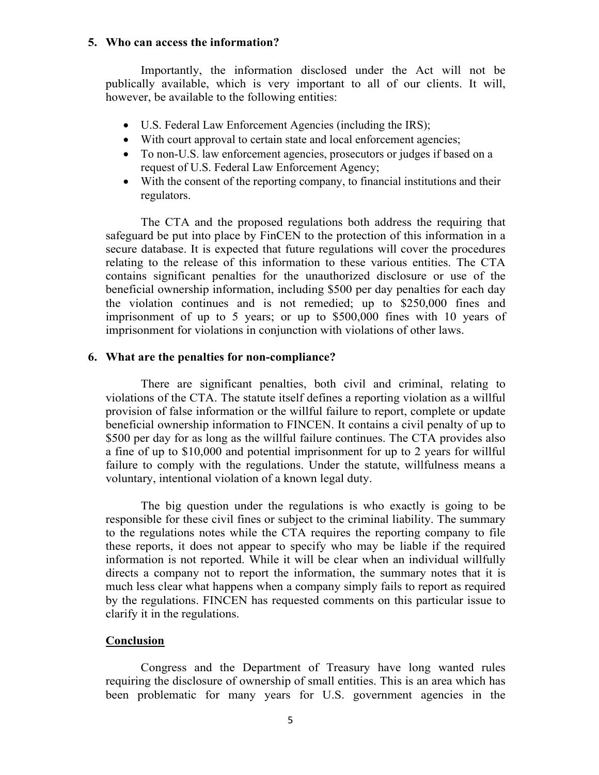#### **5. Who can access the information?**

Importantly, the information disclosed under the Act will not be publically available, which is very important to all of our clients. It will, however, be available to the following entities:

- U.S. Federal Law Enforcement Agencies (including the IRS);
- With court approval to certain state and local enforcement agencies;
- To non-U.S. law enforcement agencies, prosecutors or judges if based on a request of U.S. Federal Law Enforcement Agency;
- With the consent of the reporting company, to financial institutions and their regulators.

The CTA and the proposed regulations both address the requiring that safeguard be put into place by FinCEN to the protection of this information in a secure database. It is expected that future regulations will cover the procedures relating to the release of this information to these various entities. The CTA contains significant penalties for the unauthorized disclosure or use of the beneficial ownership information, including \$500 per day penalties for each day the violation continues and is not remedied; up to \$250,000 fines and imprisonment of up to 5 years; or up to \$500,000 fines with 10 years of imprisonment for violations in conjunction with violations of other laws.

#### **6. What are the penalties for non-compliance?**

There are significant penalties, both civil and criminal, relating to violations of the CTA. The statute itself defines a reporting violation as a willful provision of false information or the willful failure to report, complete or update beneficial ownership information to FINCEN. It contains a civil penalty of up to \$500 per day for as long as the willful failure continues. The CTA provides also a fine of up to \$10,000 and potential imprisonment for up to 2 years for willful failure to comply with the regulations. Under the statute, willfulness means a voluntary, intentional violation of a known legal duty.

The big question under the regulations is who exactly is going to be responsible for these civil fines or subject to the criminal liability. The summary to the regulations notes while the CTA requires the reporting company to file these reports, it does not appear to specify who may be liable if the required information is not reported. While it will be clear when an individual willfully directs a company not to report the information, the summary notes that it is much less clear what happens when a company simply fails to report as required by the regulations. FINCEN has requested comments on this particular issue to clarify it in the regulations.

#### **Conclusion**

Congress and the Department of Treasury have long wanted rules requiring the disclosure of ownership of small entities. This is an area which has been problematic for many years for U.S. government agencies in the